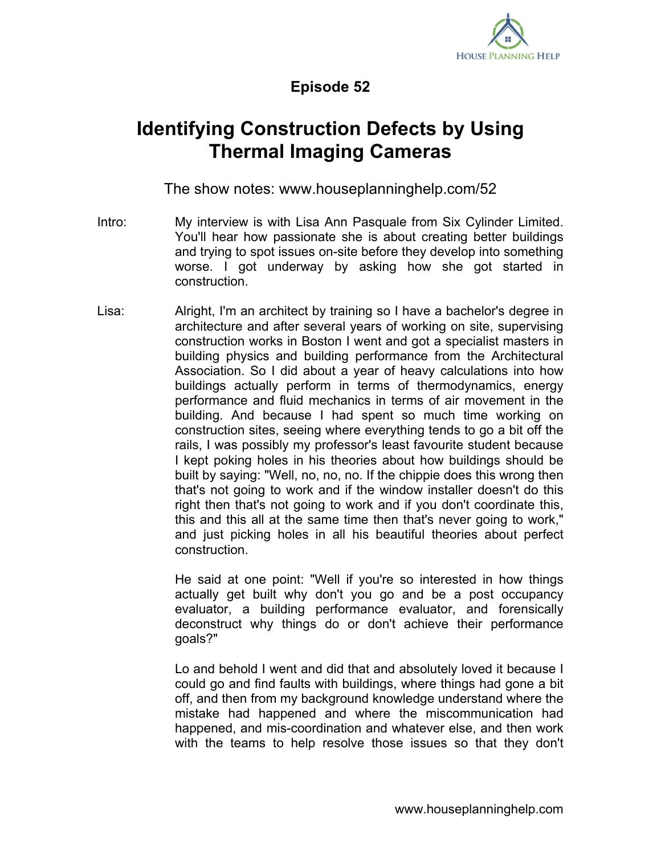

## **Episode 52**

## **Identifying Construction Defects by Using Thermal Imaging Cameras**

The show notes: www.houseplanninghelp.com/52

- Intro: My interview is with Lisa Ann Pasquale from Six Cylinder Limited. You'll hear how passionate she is about creating better buildings and trying to spot issues on-site before they develop into something worse. I got underway by asking how she got started in construction.
- Lisa: Alright, I'm an architect by training so I have a bachelor's degree in architecture and after several years of working on site, supervising construction works in Boston I went and got a specialist masters in building physics and building performance from the Architectural Association. So I did about a year of heavy calculations into how buildings actually perform in terms of thermodynamics, energy performance and fluid mechanics in terms of air movement in the building. And because I had spent so much time working on construction sites, seeing where everything tends to go a bit off the rails, I was possibly my professor's least favourite student because I kept poking holes in his theories about how buildings should be built by saying: "Well, no, no, no. If the chippie does this wrong then that's not going to work and if the window installer doesn't do this right then that's not going to work and if you don't coordinate this, this and this all at the same time then that's never going to work," and just picking holes in all his beautiful theories about perfect construction.

He said at one point: "Well if you're so interested in how things actually get built why don't you go and be a post occupancy evaluator, a building performance evaluator, and forensically deconstruct why things do or don't achieve their performance goals?"

Lo and behold I went and did that and absolutely loved it because I could go and find faults with buildings, where things had gone a bit off, and then from my background knowledge understand where the mistake had happened and where the miscommunication had happened, and mis-coordination and whatever else, and then work with the teams to help resolve those issues so that they don't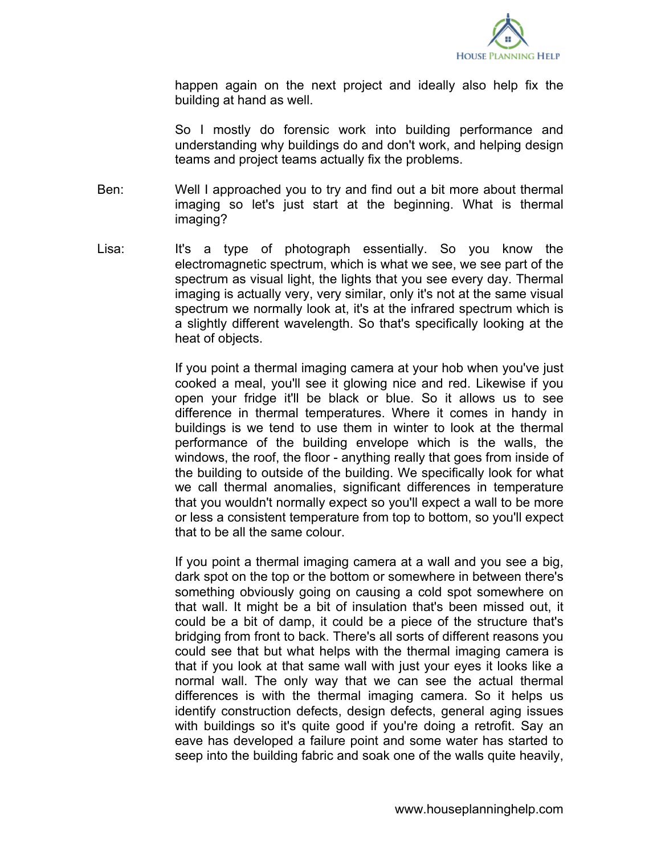

happen again on the next project and ideally also help fix the building at hand as well.

So I mostly do forensic work into building performance and understanding why buildings do and don't work, and helping design teams and project teams actually fix the problems.

- Ben: Well I approached you to try and find out a bit more about thermal imaging so let's just start at the beginning. What is thermal imaging?
- Lisa: It's a type of photograph essentially. So you know the electromagnetic spectrum, which is what we see, we see part of the spectrum as visual light, the lights that you see every day. Thermal imaging is actually very, very similar, only it's not at the same visual spectrum we normally look at, it's at the infrared spectrum which is a slightly different wavelength. So that's specifically looking at the heat of objects.

If you point a thermal imaging camera at your hob when you've just cooked a meal, you'll see it glowing nice and red. Likewise if you open your fridge it'll be black or blue. So it allows us to see difference in thermal temperatures. Where it comes in handy in buildings is we tend to use them in winter to look at the thermal performance of the building envelope which is the walls, the windows, the roof, the floor - anything really that goes from inside of the building to outside of the building. We specifically look for what we call thermal anomalies, significant differences in temperature that you wouldn't normally expect so you'll expect a wall to be more or less a consistent temperature from top to bottom, so you'll expect that to be all the same colour.

If you point a thermal imaging camera at a wall and you see a big, dark spot on the top or the bottom or somewhere in between there's something obviously going on causing a cold spot somewhere on that wall. It might be a bit of insulation that's been missed out, it could be a bit of damp, it could be a piece of the structure that's bridging from front to back. There's all sorts of different reasons you could see that but what helps with the thermal imaging camera is that if you look at that same wall with just your eyes it looks like a normal wall. The only way that we can see the actual thermal differences is with the thermal imaging camera. So it helps us identify construction defects, design defects, general aging issues with buildings so it's quite good if you're doing a retrofit. Say an eave has developed a failure point and some water has started to seep into the building fabric and soak one of the walls quite heavily,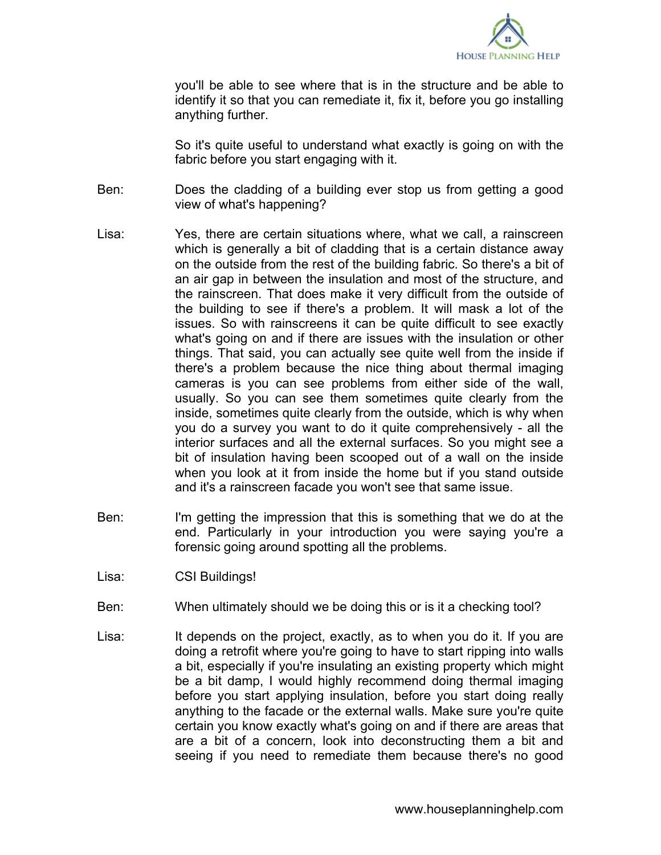

you'll be able to see where that is in the structure and be able to identify it so that you can remediate it, fix it, before you go installing anything further.

So it's quite useful to understand what exactly is going on with the fabric before you start engaging with it.

- Ben: Does the cladding of a building ever stop us from getting a good view of what's happening?
- Lisa: Yes, there are certain situations where, what we call, a rainscreen which is generally a bit of cladding that is a certain distance away on the outside from the rest of the building fabric. So there's a bit of an air gap in between the insulation and most of the structure, and the rainscreen. That does make it very difficult from the outside of the building to see if there's a problem. It will mask a lot of the issues. So with rainscreens it can be quite difficult to see exactly what's going on and if there are issues with the insulation or other things. That said, you can actually see quite well from the inside if there's a problem because the nice thing about thermal imaging cameras is you can see problems from either side of the wall, usually. So you can see them sometimes quite clearly from the inside, sometimes quite clearly from the outside, which is why when you do a survey you want to do it quite comprehensively - all the interior surfaces and all the external surfaces. So you might see a bit of insulation having been scooped out of a wall on the inside when you look at it from inside the home but if you stand outside and it's a rainscreen facade you won't see that same issue.
- Ben: I'm getting the impression that this is something that we do at the end. Particularly in your introduction you were saying you're a forensic going around spotting all the problems.
- Lisa: CSI Buildings!
- Ben: When ultimately should we be doing this or is it a checking tool?
- Lisa: It depends on the project, exactly, as to when you do it. If you are doing a retrofit where you're going to have to start ripping into walls a bit, especially if you're insulating an existing property which might be a bit damp, I would highly recommend doing thermal imaging before you start applying insulation, before you start doing really anything to the facade or the external walls. Make sure you're quite certain you know exactly what's going on and if there are areas that are a bit of a concern, look into deconstructing them a bit and seeing if you need to remediate them because there's no good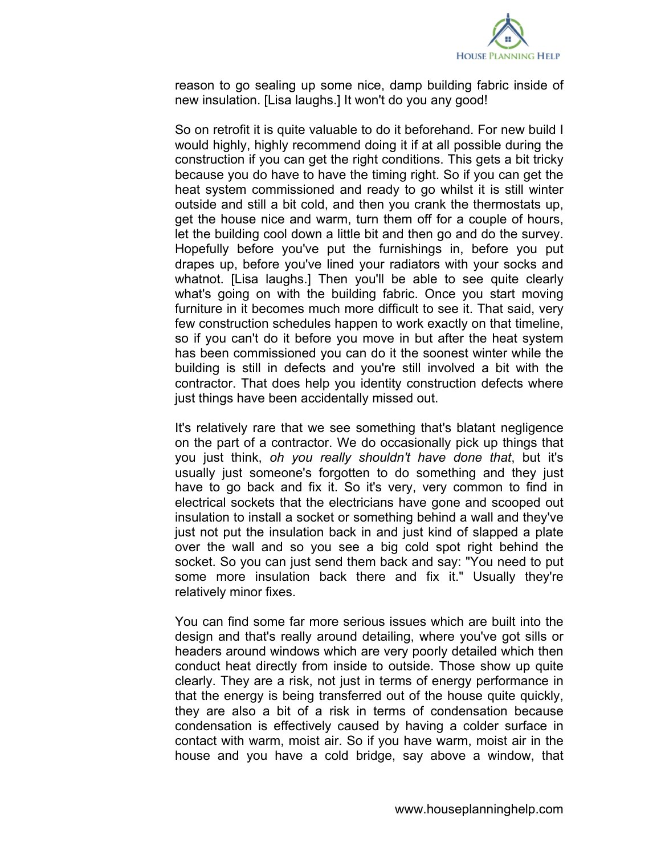

reason to go sealing up some nice, damp building fabric inside of new insulation. [Lisa laughs.] It won't do you any good!

So on retrofit it is quite valuable to do it beforehand. For new build I would highly, highly recommend doing it if at all possible during the construction if you can get the right conditions. This gets a bit tricky because you do have to have the timing right. So if you can get the heat system commissioned and ready to go whilst it is still winter outside and still a bit cold, and then you crank the thermostats up, get the house nice and warm, turn them off for a couple of hours, let the building cool down a little bit and then go and do the survey. Hopefully before you've put the furnishings in, before you put drapes up, before you've lined your radiators with your socks and whatnot. [Lisa laughs.] Then you'll be able to see quite clearly what's going on with the building fabric. Once you start moving furniture in it becomes much more difficult to see it. That said, very few construction schedules happen to work exactly on that timeline, so if you can't do it before you move in but after the heat system has been commissioned you can do it the soonest winter while the building is still in defects and you're still involved a bit with the contractor. That does help you identity construction defects where just things have been accidentally missed out.

It's relatively rare that we see something that's blatant negligence on the part of a contractor. We do occasionally pick up things that you just think, *oh you really shouldn't have done that*, but it's usually just someone's forgotten to do something and they just have to go back and fix it. So it's very, very common to find in electrical sockets that the electricians have gone and scooped out insulation to install a socket or something behind a wall and they've just not put the insulation back in and just kind of slapped a plate over the wall and so you see a big cold spot right behind the socket. So you can just send them back and say: "You need to put some more insulation back there and fix it." Usually they're relatively minor fixes.

You can find some far more serious issues which are built into the design and that's really around detailing, where you've got sills or headers around windows which are very poorly detailed which then conduct heat directly from inside to outside. Those show up quite clearly. They are a risk, not just in terms of energy performance in that the energy is being transferred out of the house quite quickly, they are also a bit of a risk in terms of condensation because condensation is effectively caused by having a colder surface in contact with warm, moist air. So if you have warm, moist air in the house and you have a cold bridge, say above a window, that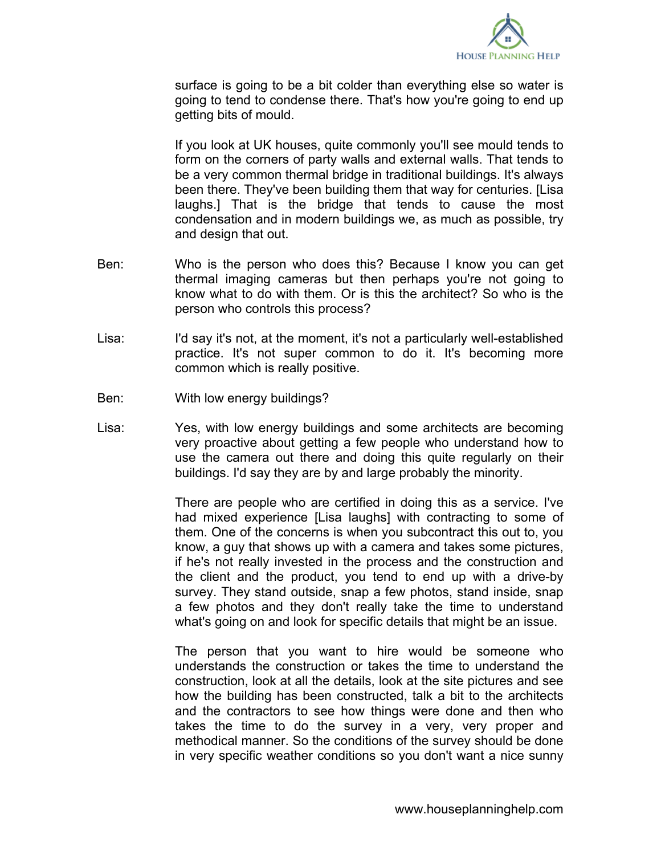

surface is going to be a bit colder than everything else so water is going to tend to condense there. That's how you're going to end up getting bits of mould.

If you look at UK houses, quite commonly you'll see mould tends to form on the corners of party walls and external walls. That tends to be a very common thermal bridge in traditional buildings. It's always been there. They've been building them that way for centuries. [Lisa laughs.] That is the bridge that tends to cause the most condensation and in modern buildings we, as much as possible, try and design that out.

- Ben: Who is the person who does this? Because I know you can get thermal imaging cameras but then perhaps you're not going to know what to do with them. Or is this the architect? So who is the person who controls this process?
- Lisa: I'd say it's not, at the moment, it's not a particularly well-established practice. It's not super common to do it. It's becoming more common which is really positive.
- Ben: With low energy buildings?
- Lisa: Yes, with low energy buildings and some architects are becoming very proactive about getting a few people who understand how to use the camera out there and doing this quite regularly on their buildings. I'd say they are by and large probably the minority.

There are people who are certified in doing this as a service. I've had mixed experience [Lisa laughs] with contracting to some of them. One of the concerns is when you subcontract this out to, you know, a guy that shows up with a camera and takes some pictures, if he's not really invested in the process and the construction and the client and the product, you tend to end up with a drive-by survey. They stand outside, snap a few photos, stand inside, snap a few photos and they don't really take the time to understand what's going on and look for specific details that might be an issue.

The person that you want to hire would be someone who understands the construction or takes the time to understand the construction, look at all the details, look at the site pictures and see how the building has been constructed, talk a bit to the architects and the contractors to see how things were done and then who takes the time to do the survey in a very, very proper and methodical manner. So the conditions of the survey should be done in very specific weather conditions so you don't want a nice sunny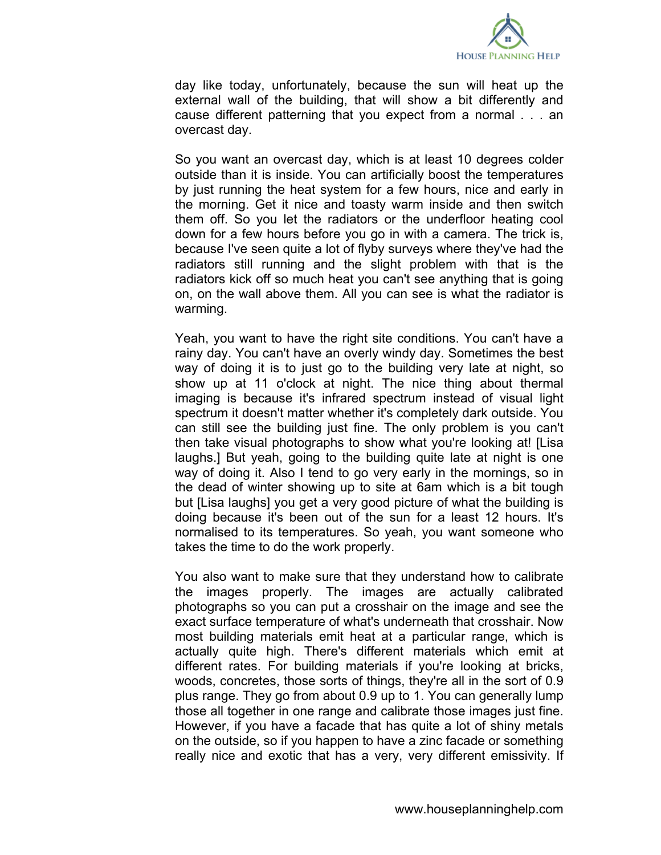

day like today, unfortunately, because the sun will heat up the external wall of the building, that will show a bit differently and cause different patterning that you expect from a normal . . . an overcast day.

So you want an overcast day, which is at least 10 degrees colder outside than it is inside. You can artificially boost the temperatures by just running the heat system for a few hours, nice and early in the morning. Get it nice and toasty warm inside and then switch them off. So you let the radiators or the underfloor heating cool down for a few hours before you go in with a camera. The trick is, because I've seen quite a lot of flyby surveys where they've had the radiators still running and the slight problem with that is the radiators kick off so much heat you can't see anything that is going on, on the wall above them. All you can see is what the radiator is warming.

Yeah, you want to have the right site conditions. You can't have a rainy day. You can't have an overly windy day. Sometimes the best way of doing it is to just go to the building very late at night, so show up at 11 o'clock at night. The nice thing about thermal imaging is because it's infrared spectrum instead of visual light spectrum it doesn't matter whether it's completely dark outside. You can still see the building just fine. The only problem is you can't then take visual photographs to show what you're looking at! [Lisa laughs.] But yeah, going to the building quite late at night is one way of doing it. Also I tend to go very early in the mornings, so in the dead of winter showing up to site at 6am which is a bit tough but [Lisa laughs] you get a very good picture of what the building is doing because it's been out of the sun for a least 12 hours. It's normalised to its temperatures. So yeah, you want someone who takes the time to do the work properly.

You also want to make sure that they understand how to calibrate the images properly. The images are actually calibrated photographs so you can put a crosshair on the image and see the exact surface temperature of what's underneath that crosshair. Now most building materials emit heat at a particular range, which is actually quite high. There's different materials which emit at different rates. For building materials if you're looking at bricks, woods, concretes, those sorts of things, they're all in the sort of 0.9 plus range. They go from about 0.9 up to 1. You can generally lump those all together in one range and calibrate those images just fine. However, if you have a facade that has quite a lot of shiny metals on the outside, so if you happen to have a zinc facade or something really nice and exotic that has a very, very different emissivity. If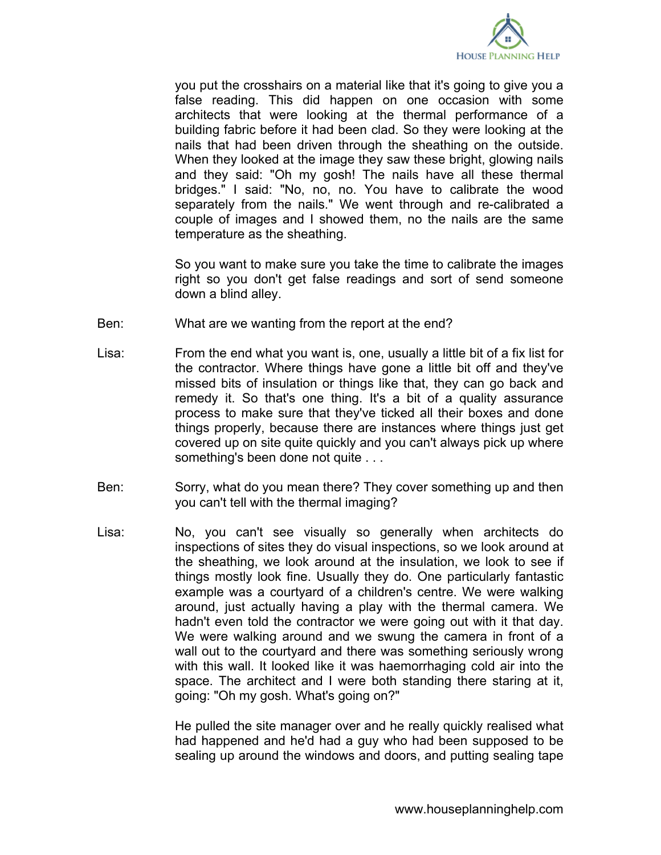

you put the crosshairs on a material like that it's going to give you a false reading. This did happen on one occasion with some architects that were looking at the thermal performance of a building fabric before it had been clad. So they were looking at the nails that had been driven through the sheathing on the outside. When they looked at the image they saw these bright, glowing nails and they said: "Oh my gosh! The nails have all these thermal bridges." I said: "No, no, no. You have to calibrate the wood separately from the nails." We went through and re-calibrated a couple of images and I showed them, no the nails are the same temperature as the sheathing.

So you want to make sure you take the time to calibrate the images right so you don't get false readings and sort of send someone down a blind alley.

- Ben: What are we wanting from the report at the end?
- Lisa: From the end what you want is, one, usually a little bit of a fix list for the contractor. Where things have gone a little bit off and they've missed bits of insulation or things like that, they can go back and remedy it. So that's one thing. It's a bit of a quality assurance process to make sure that they've ticked all their boxes and done things properly, because there are instances where things just get covered up on site quite quickly and you can't always pick up where something's been done not quite . . .
- Ben: Sorry, what do you mean there? They cover something up and then you can't tell with the thermal imaging?
- Lisa: No, you can't see visually so generally when architects do inspections of sites they do visual inspections, so we look around at the sheathing, we look around at the insulation, we look to see if things mostly look fine. Usually they do. One particularly fantastic example was a courtyard of a children's centre. We were walking around, just actually having a play with the thermal camera. We hadn't even told the contractor we were going out with it that day. We were walking around and we swung the camera in front of a wall out to the courtyard and there was something seriously wrong with this wall. It looked like it was haemorrhaging cold air into the space. The architect and I were both standing there staring at it, going: "Oh my gosh. What's going on?"

He pulled the site manager over and he really quickly realised what had happened and he'd had a guy who had been supposed to be sealing up around the windows and doors, and putting sealing tape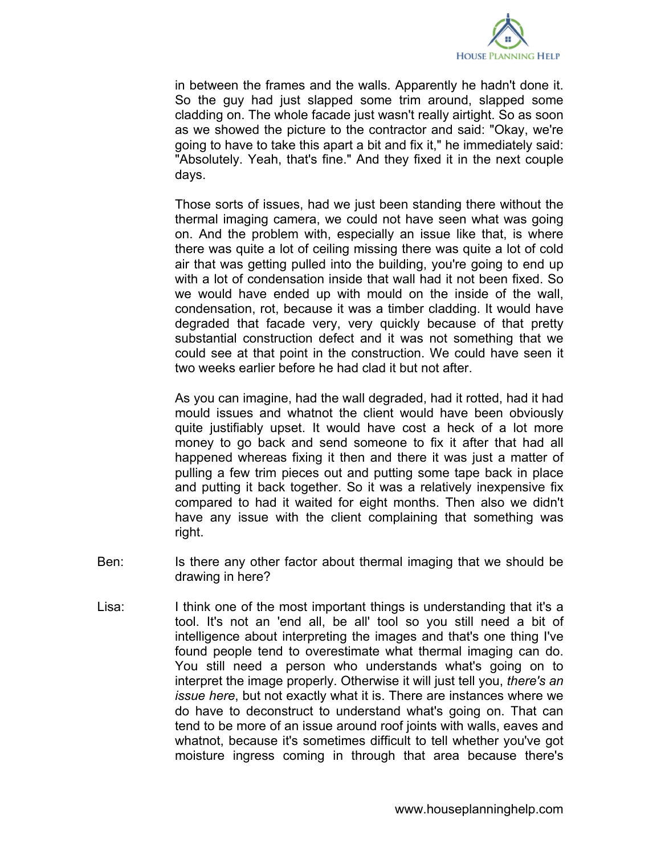

in between the frames and the walls. Apparently he hadn't done it. So the guy had just slapped some trim around, slapped some cladding on. The whole facade just wasn't really airtight. So as soon as we showed the picture to the contractor and said: "Okay, we're going to have to take this apart a bit and fix it," he immediately said: "Absolutely. Yeah, that's fine." And they fixed it in the next couple days.

Those sorts of issues, had we just been standing there without the thermal imaging camera, we could not have seen what was going on. And the problem with, especially an issue like that, is where there was quite a lot of ceiling missing there was quite a lot of cold air that was getting pulled into the building, you're going to end up with a lot of condensation inside that wall had it not been fixed. So we would have ended up with mould on the inside of the wall, condensation, rot, because it was a timber cladding. It would have degraded that facade very, very quickly because of that pretty substantial construction defect and it was not something that we could see at that point in the construction. We could have seen it two weeks earlier before he had clad it but not after.

As you can imagine, had the wall degraded, had it rotted, had it had mould issues and whatnot the client would have been obviously quite justifiably upset. It would have cost a heck of a lot more money to go back and send someone to fix it after that had all happened whereas fixing it then and there it was just a matter of pulling a few trim pieces out and putting some tape back in place and putting it back together. So it was a relatively inexpensive fix compared to had it waited for eight months. Then also we didn't have any issue with the client complaining that something was right.

- Ben: Is there any other factor about thermal imaging that we should be drawing in here?
- Lisa: I think one of the most important things is understanding that it's a tool. It's not an 'end all, be all' tool so you still need a bit of intelligence about interpreting the images and that's one thing I've found people tend to overestimate what thermal imaging can do. You still need a person who understands what's going on to interpret the image properly. Otherwise it will just tell you, *there's an issue here*, but not exactly what it is. There are instances where we do have to deconstruct to understand what's going on. That can tend to be more of an issue around roof joints with walls, eaves and whatnot, because it's sometimes difficult to tell whether you've got moisture ingress coming in through that area because there's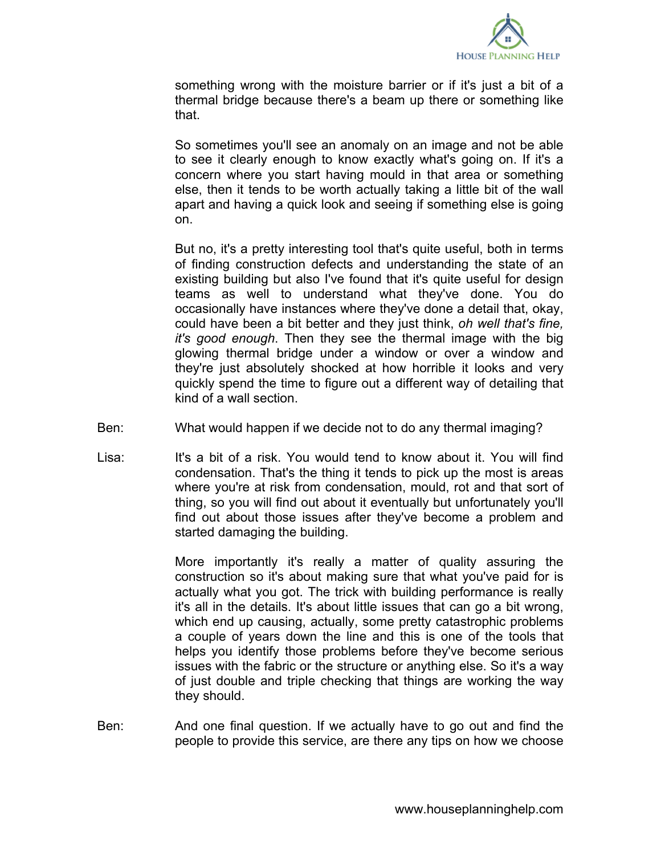

something wrong with the moisture barrier or if it's just a bit of a thermal bridge because there's a beam up there or something like that.

So sometimes you'll see an anomaly on an image and not be able to see it clearly enough to know exactly what's going on. If it's a concern where you start having mould in that area or something else, then it tends to be worth actually taking a little bit of the wall apart and having a quick look and seeing if something else is going on.

But no, it's a pretty interesting tool that's quite useful, both in terms of finding construction defects and understanding the state of an existing building but also I've found that it's quite useful for design teams as well to understand what they've done. You do occasionally have instances where they've done a detail that, okay, could have been a bit better and they just think, *oh well that's fine, it's good enough*. Then they see the thermal image with the big glowing thermal bridge under a window or over a window and they're just absolutely shocked at how horrible it looks and very quickly spend the time to figure out a different way of detailing that kind of a wall section.

- Ben: What would happen if we decide not to do any thermal imaging?
- Lisa: It's a bit of a risk. You would tend to know about it. You will find condensation. That's the thing it tends to pick up the most is areas where you're at risk from condensation, mould, rot and that sort of thing, so you will find out about it eventually but unfortunately you'll find out about those issues after they've become a problem and started damaging the building.

More importantly it's really a matter of quality assuring the construction so it's about making sure that what you've paid for is actually what you got. The trick with building performance is really it's all in the details. It's about little issues that can go a bit wrong, which end up causing, actually, some pretty catastrophic problems a couple of years down the line and this is one of the tools that helps you identify those problems before they've become serious issues with the fabric or the structure or anything else. So it's a way of just double and triple checking that things are working the way they should.

Ben: And one final question. If we actually have to go out and find the people to provide this service, are there any tips on how we choose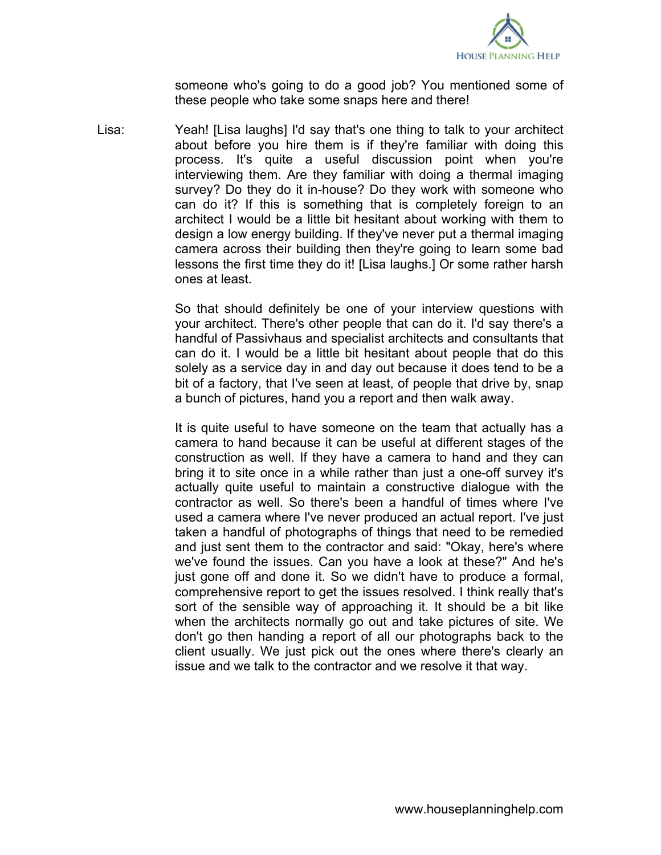

someone who's going to do a good job? You mentioned some of these people who take some snaps here and there!

Lisa: Yeah! [Lisa laughs] I'd say that's one thing to talk to your architect about before you hire them is if they're familiar with doing this process. It's quite a useful discussion point when you're interviewing them. Are they familiar with doing a thermal imaging survey? Do they do it in-house? Do they work with someone who can do it? If this is something that is completely foreign to an architect I would be a little bit hesitant about working with them to design a low energy building. If they've never put a thermal imaging camera across their building then they're going to learn some bad lessons the first time they do it! [Lisa laughs.] Or some rather harsh ones at least.

> So that should definitely be one of your interview questions with your architect. There's other people that can do it. I'd say there's a handful of Passivhaus and specialist architects and consultants that can do it. I would be a little bit hesitant about people that do this solely as a service day in and day out because it does tend to be a bit of a factory, that I've seen at least, of people that drive by, snap a bunch of pictures, hand you a report and then walk away.

> It is quite useful to have someone on the team that actually has a camera to hand because it can be useful at different stages of the construction as well. If they have a camera to hand and they can bring it to site once in a while rather than just a one-off survey it's actually quite useful to maintain a constructive dialogue with the contractor as well. So there's been a handful of times where I've used a camera where I've never produced an actual report. I've just taken a handful of photographs of things that need to be remedied and just sent them to the contractor and said: "Okay, here's where we've found the issues. Can you have a look at these?" And he's just gone off and done it. So we didn't have to produce a formal, comprehensive report to get the issues resolved. I think really that's sort of the sensible way of approaching it. It should be a bit like when the architects normally go out and take pictures of site. We don't go then handing a report of all our photographs back to the client usually. We just pick out the ones where there's clearly an issue and we talk to the contractor and we resolve it that way.